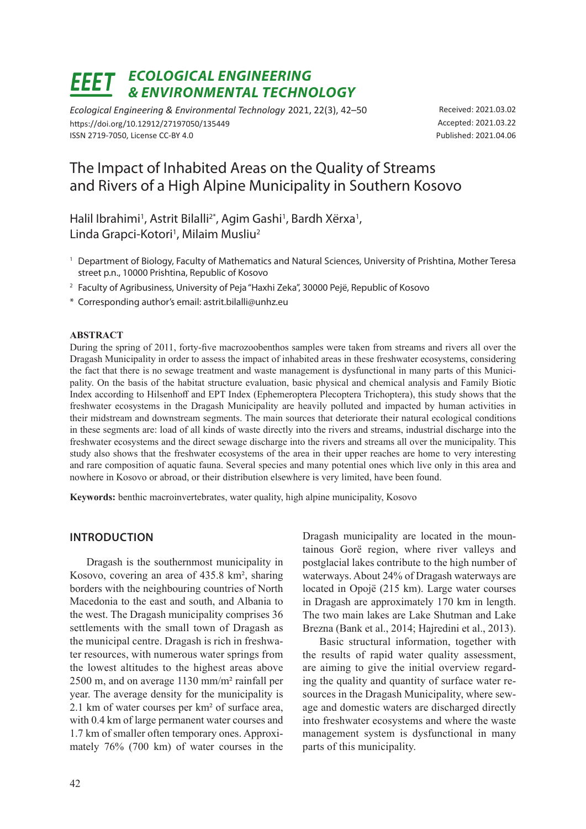# *Ecological Engineering & Environmental Technology*

*Ecological Engineering & Environmental Technology* 2021, 22(3), 42–50 https://doi.org/10.12912/27197050/135449 ISSN 2719-7050, License CC-BY 4.0

Received: 2021.03.02 Accepted: 2021.03.22 Published: 2021.04.06

## The Impact of Inhabited Areas on the Quality of Streams and Rivers of a High Alpine Municipality in Southern Kosovo

Halil Ibrahimi<sup>1</sup>, Astrit Bilalli<sup>2\*</sup>, Agim Gashi<sup>1</sup>, Bardh Xërxa<sup>1</sup>, Linda Grapci-Kotori<sup>1</sup>, Milaim Musliu<sup>2</sup>

- <sup>1</sup> Department of Biology, Faculty of Mathematics and Natural Sciences, University of Prishtina, Mother Teresa street p.n., 10000 Prishtina, Republic of Kosovo
- <sup>2</sup> Faculty of Agribusiness, University of Peja "Haxhi Zeka", 30000 Pejë, Republic of Kosovo
- \* Corresponding author's email: astrit.bilalli@unhz.eu

#### **ABSTRACT**

During the spring of 2011, forty-five macrozoobenthos samples were taken from streams and rivers all over the Dragash Municipality in order to assess the impact of inhabited areas in these freshwater ecosystems, considering the fact that there is no sewage treatment and waste management is dysfunctional in many parts of this Municipality. On the basis of the habitat structure evaluation, basic physical and chemical analysis and Family Biotic Index according to Hilsenhoff and EPT Index (Ephemeroptera Plecoptera Trichoptera), this study shows that the freshwater ecosystems in the Dragash Municipality are heavily polluted and impacted by human activities in their midstream and downstream segments. The main sources that deteriorate their natural ecological conditions in these segments are: load of all kinds of waste directly into the rivers and streams, industrial discharge into the freshwater ecosystems and the direct sewage discharge into the rivers and streams all over the municipality. This study also shows that the freshwater ecosystems of the area in their upper reaches are home to very interesting and rare composition of aquatic fauna. Several species and many potential ones which live only in this area and nowhere in Kosovo or abroad, or their distribution elsewhere is very limited, have been found.

**Keywords:** benthic macroinvertebrates, water quality, high alpine municipality, Kosovo

## **INTRODUCTION**

Dragash is the southernmost municipality in Kosovo, covering an area of 435.8 km², sharing borders with the neighbouring countries of North Macedonia to the east and south, and Albania to the west. The Dragash municipality comprises 36 settlements with the small town of Dragash as the municipal centre. Dragash is rich in freshwater resources, with numerous water springs from the lowest altitudes to the highest areas above 2500 m, and on average 1130 mm/m² rainfall per year. The average density for the municipality is 2.1 km of water courses per km² of surface area, with 0.4 km of large permanent water courses and 1.7 km of smaller often temporary ones. Approximately 76% (700 km) of water courses in the

Dragash municipality are located in the mountainous Gorë region, where river valleys and postglacial lakes contribute to the high number of waterways. About 24% of Dragash waterways are located in Opojë (215 km). Large water courses in Dragash are approximately 170 km in length. The two main lakes are Lake Shutman and Lake Brezna (Bank et al., 2014; Hajredini et al., 2013).

Basic structural information, together with the results of rapid water quality assessment, are aiming to give the initial overview regarding the quality and quantity of surface water resources in the Dragash Municipality, where sewage and domestic waters are discharged directly into freshwater ecosystems and where the waste management system is dysfunctional in many parts of this municipality.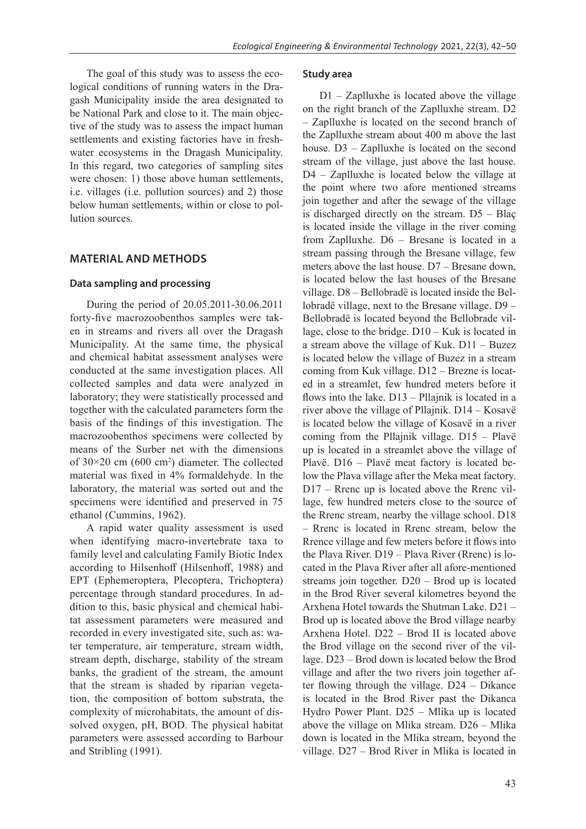The goal of this study was to assess the ecological conditions of running waters in the Dragash Municipality inside the area designated to be National Park and close to it. The main objective of the study was to assess the impact human settlements and existing factories have in freshwater ecosystems in the Dragash Municipality. In this regard, two categories of sampling sites were chosen: 1) those above human settlements, i.e. villages (i.e. pollution sources) and 2) those below human settlements, within or close to pollution sources.

## **MATERIAL AND METHODS**

#### **Data sampling and processing**

During the period of 20.05.2011-30.06.2011 forty-five macrozoobenthos samples were taken in streams and rivers all over the Dragash Municipality. At the same time, the physical and chemical habitat assessment analyses were conducted at the same investigation places. All collected samples and data were analyzed in laboratory; they were statistically processed and together with the calculated parameters form the basis of the findings of this investigation. The macrozoobenthos specimens were collected by means of the Surber net with the dimensions of  $30 \times 20$  cm (600 cm<sup>2</sup>) diameter. The collected material was fixed in 4% formaldehyde. In the laboratory, the material was sorted out and the specimens were identified and preserved in 75 ethanol (Cummins, 1962).

A rapid water quality assessment is used when identifying macro-invertebrate taxa to family level and calculating Family Biotic Index according to Hilsenhoff (Hilsenhoff, 1988) and EPT (Ephemeroptera, Plecoptera, Trichoptera) percentage through standard procedures. In addition to this, basic physical and chemical habitat assessment parameters were measured and recorded in every investigated site, such as: water temperature, air temperature, stream width, stream depth, discharge, stability of the stream banks, the gradient of the stream, the amount that the stream is shaded by riparian vegetation, the composition of bottom substrata, the complexity of microhabitats, the amount of dissolved oxygen, pH, BOD. The physical habitat parameters were assessed according to Barbour and Stribling (1991).

#### **Study area**

D1 – Zaplluxhe is located above the village on the right branch of the Zaplluxhe stream. D2 – Zaplluxhe is located on the second branch of the Zaplluxhe stream about 400 m above the last house. D3 – Zaplluxhe is located on the second stream of the village, just above the last house. D4 – Zaplluxhe is located below the village at the point where two afore mentioned streams join together and after the sewage of the village is discharged directly on the stream. D5 – Blaç is located inside the village in the river coming from Zaplluxhe. D6 – Bresane is located in a stream passing through the Bresane village, few meters above the last house. D7 – Bresane down, is located below the last houses of the Bresane village. D8 – Bellobradë is located inside the Bellobradë village, next to the Bresane village. D9 – Bellobradë is located beyond the Bellobrade village, close to the bridge. D10 – Kuk is located in a stream above the village of Kuk. D11 – Buzez is located below the village of Buzez in a stream coming from Kuk village. D12 – Brezne is located in a streamlet, few hundred meters before it flows into the lake. D13 – Pllajnik is located in a river above the village of Pllajnik. D14 – Kosavë is located below the village of Kosavë in a river coming from the Pllajnik village. D15 – Plavë up is located in a streamlet above the village of Plavë. D16 – Plavë meat factory is located below the Plava village after the Meka meat factory. D17 – Rrenc up is located above the Rrenc village, few hundred meters close to the source of the Rrenc stream, nearby the village school. D18 – Rrenc is located in Rrenc stream, below the Rrence village and few meters before it flows into the Plava River. D19 – Plava River (Rrenc) is located in the Plava River after all afore-mentioned streams join together. D20 – Brod up is located in the Brod River several kilometres beyond the Arxhena Hotel towards the Shutman Lake. D21 – Brod up is located above the Brod village nearby Arxhena Hotel. D22 – Brod II is located above the Brod village on the second river of the village. D23 – Brod down is located below the Brod village and after the two rivers join together after flowing through the village. D24 – Dikance is located in the Brod River past the Dikanca Hydro Power Plant. D25 – Mlika up is located above the village on Mlika stream. D26 – Mlika down is located in the Mlika stream, beyond the village. D27 – Brod River in Mlika is located in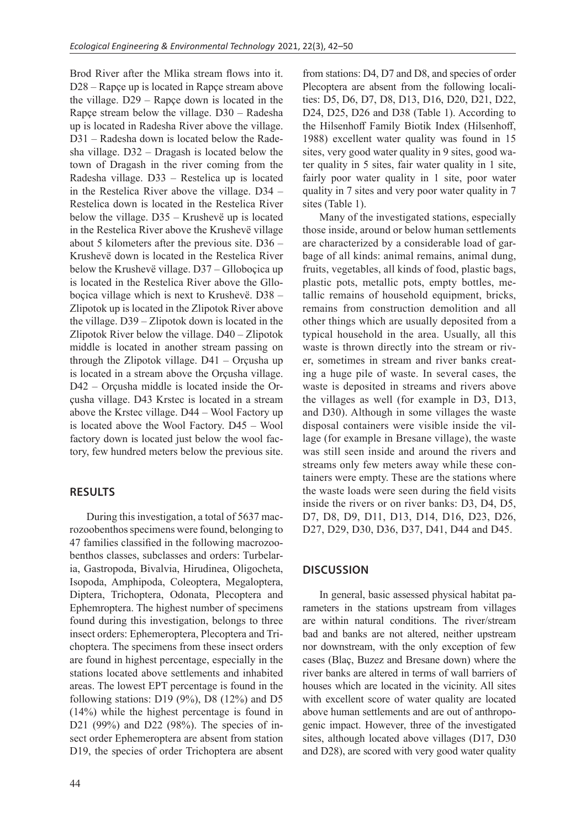Brod River after the Mlika stream flows into it. D28 – Rapçe up is located in Rapçe stream above the village. D29 – Rapçe down is located in the Rapçe stream below the village. D30 – Radesha up is located in Radesha River above the village. D31 – Radesha down is located below the Radesha village. D32 – Dragash is located below the town of Dragash in the river coming from the Radesha village. D33 – Restelica up is located in the Restelica River above the village. D34 – Restelica down is located in the Restelica River below the village. D35 – Krushevë up is located in the Restelica River above the Krushevë village about 5 kilometers after the previous site. D36 – Krushevë down is located in the Restelica River below the Krushevë village. D37 – Glloboçica up is located in the Restelica River above the Glloboçica village which is next to Krushevë. D38 – Zlipotok up is located in the Zlipotok River above the village. D39 – Zlipotok down is located in the Zlipotok River below the village. D40 – Zlipotok middle is located in another stream passing on through the Zlipotok village. D41 – Orçusha up is located in a stream above the Orçusha village. D42 – Orçusha middle is located inside the Orçusha village. D43 Krstec is located in a stream above the Krstec village. D44 – Wool Factory up is located above the Wool Factory. D45 – Wool factory down is located just below the wool factory, few hundred meters below the previous site.

## **RESULTS**

During this investigation, a total of 5637 macrozoobenthos specimens were found, belonging to 47 families classified in the following macrozoobenthos classes, subclasses and orders: Turbelaria, Gastropoda, Bivalvia, Hirudinea, Oligocheta, Isopoda, Amphipoda, Coleoptera, Megaloptera, Diptera, Trichoptera, Odonata, Plecoptera and Ephemroptera. The highest number of specimens found during this investigation, belongs to three insect orders: Ephemeroptera, Plecoptera and Trichoptera. The specimens from these insect orders are found in highest percentage, especially in the stations located above settlements and inhabited areas. The lowest EPT percentage is found in the following stations: D19  $(9\%)$ , D8  $(12\%)$  and D5 (14%) while the highest percentage is found in D21 (99%) and D22 (98%). The species of insect order Ephemeroptera are absent from station D19, the species of order Trichoptera are absent from stations: D4, D7 and D8, and species of order Plecoptera are absent from the following localities: D5, D6, D7, D8, D13, D16, D20, D21, D22, D24, D25, D26 and D38 (Table 1). According to the Hilsenhoff Family Biotik Index (Hilsenhoff, 1988) excellent water quality was found in 15 sites, very good water quality in 9 sites, good water quality in 5 sites, fair water quality in 1 site, fairly poor water quality in 1 site, poor water quality in 7 sites and very poor water quality in 7 sites (Table 1).

Many of the investigated stations, especially those inside, around or below human settlements are characterized by a considerable load of garbage of all kinds: animal remains, animal dung, fruits, vegetables, all kinds of food, plastic bags, plastic pots, metallic pots, empty bottles, metallic remains of household equipment, bricks, remains from construction demolition and all other things which are usually deposited from a typical household in the area. Usually, all this waste is thrown directly into the stream or river, sometimes in stream and river banks creating a huge pile of waste. In several cases, the waste is deposited in streams and rivers above the villages as well (for example in D3, D13, and D30). Although in some villages the waste disposal containers were visible inside the village (for example in Bresane village), the waste was still seen inside and around the rivers and streams only few meters away while these containers were empty. These are the stations where the waste loads were seen during the field visits inside the rivers or on river banks: D3, D4, D5, D7, D8, D9, D11, D13, D14, D16, D23, D26, D27, D29, D30, D36, D37, D41, D44 and D45.

## **DISCUSSION**

In general, basic assessed physical habitat parameters in the stations upstream from villages are within natural conditions. The river/stream bad and banks are not altered, neither upstream nor downstream, with the only exception of few cases (Blaç, Buzez and Bresane down) where the river banks are altered in terms of wall barriers of houses which are located in the vicinity. All sites with excellent score of water quality are located above human settlements and are out of anthropogenic impact. However, three of the investigated sites, although located above villages (D17, D30 and D28), are scored with very good water quality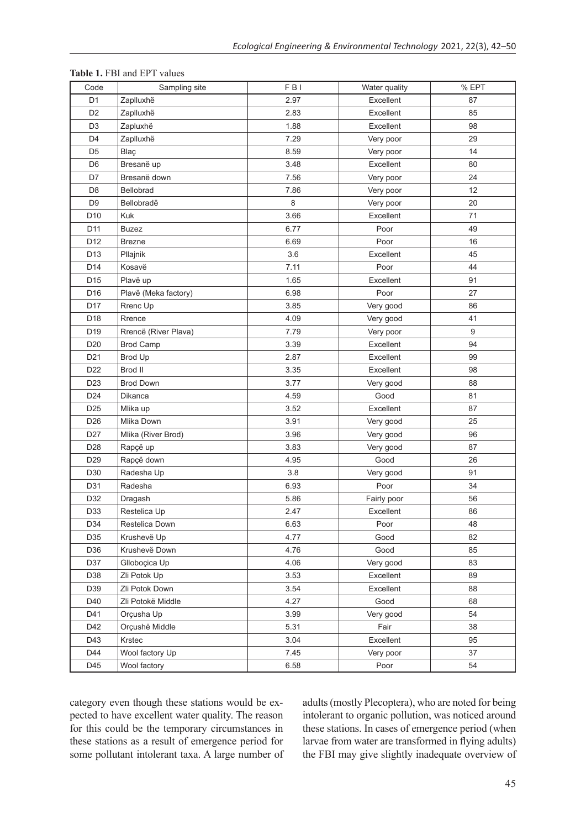| Code            | Sampling site        | FBI  | Water quality | % EPT |
|-----------------|----------------------|------|---------------|-------|
| D <sub>1</sub>  | Zaplluxhë            | 2.97 | Excellent     | 87    |
| D <sub>2</sub>  | Zaplluxhë            | 2.83 | Excellent     | 85    |
| D <sub>3</sub>  | Zapluxhë             | 1.88 | Excellent     | 98    |
| D <sub>4</sub>  | Zaplluxhë            | 7.29 | Very poor     | 29    |
| D <sub>5</sub>  | Blaç                 | 8.59 | Very poor     | 14    |
| D <sub>6</sub>  | Bresanë up           | 3.48 | Excellent     | 80    |
| D7              | Bresanë down         | 7.56 | Very poor     | 24    |
| D <sub>8</sub>  | Bellobrad            | 7.86 | Very poor     | 12    |
| D <sub>9</sub>  | Bellobradë           | 8    | Very poor     | 20    |
| D <sub>10</sub> | Kuk                  | 3.66 | Excellent     | 71    |
| D <sub>11</sub> | <b>Buzez</b>         | 6.77 | Poor          | 49    |
| D <sub>12</sub> | <b>Brezne</b>        | 6.69 | Poor          | 16    |
| D <sub>13</sub> | Pllajnik             | 3.6  | Excellent     | 45    |
| D14             | Kosavë               | 7.11 | Poor          | 44    |
| D15             | Plavë up             | 1.65 | Excellent     | 91    |
| D16             | Plavë (Meka factory) | 6.98 | Poor          | 27    |
| D17             | Rrenc Up             | 3.85 | Very good     | 86    |
| D18             | Rrence               | 4.09 | Very good     | 41    |
| D <sub>19</sub> | Rrencë (River Plava) | 7.79 | Very poor     | 9     |
| D <sub>20</sub> | <b>Brod Camp</b>     | 3.39 | Excellent     | 94    |
| D <sub>21</sub> | Brod Up              | 2.87 | Excellent     | 99    |
| D22             | Brod II              | 3.35 | Excellent     | 98    |
| D <sub>23</sub> | <b>Brod Down</b>     | 3.77 | Very good     | 88    |
| D24             | Dikanca              | 4.59 | Good          | 81    |
| D <sub>25</sub> | Mlika up             | 3.52 | Excellent     | 87    |
| D <sub>26</sub> | Mlika Down           | 3.91 | Very good     | 25    |
| D <sub>27</sub> | Mlika (River Brod)   | 3.96 | Very good     | 96    |
| D28             | Rapçë up             | 3.83 | Very good     | 87    |
| D <sub>29</sub> | Rapçë down           | 4.95 | Good          | 26    |
| D30             | Radesha Up           | 3.8  | Very good     | 91    |
| D31             | Radesha              | 6.93 | Poor          | 34    |
| D32             | Dragash              | 5.86 | Fairly poor   | 56    |
| D33             | Restelica Up         | 2.47 | Excellent     | 86    |
| D34             | Restelica Down       | 6.63 | Poor          | 48    |
| D35             | Krushevë Up          | 4.77 | Good          | 82    |
| D36             | Krushevë Down        | 4.76 | Good          | 85    |
| D37             | Glloboçica Up        | 4.06 | Very good     | 83    |
| D38             | Zli Potok Up         | 3.53 | Excellent     | 89    |
| D39             | Zli Potok Down       | 3.54 | Excellent     | 88    |
| D40             | Zli Potokë Middle    | 4.27 | Good          | 68    |
| D41             | Orçusha Up           | 3.99 | Very good     | 54    |
| D42             | Orçushë Middle       | 5.31 | Fair          | 38    |
| D43             | Krstec               | 3.04 | Excellent     | 95    |
| D44             | Wool factory Up      | 7.45 | Very poor     | 37    |
| D45             | Wool factory         | 6.58 | Poor          | 54    |

#### **Table 1.** FBI and EPT values

category even though these stations would be expected to have excellent water quality. The reason for this could be the temporary circumstances in these stations as a result of emergence period for some pollutant intolerant taxa. A large number of adults (mostly Plecoptera), who are noted for being intolerant to organic pollution, was noticed around these stations. In cases of emergence period (when larvae from water are transformed in flying adults) the FBI may give slightly inadequate overview of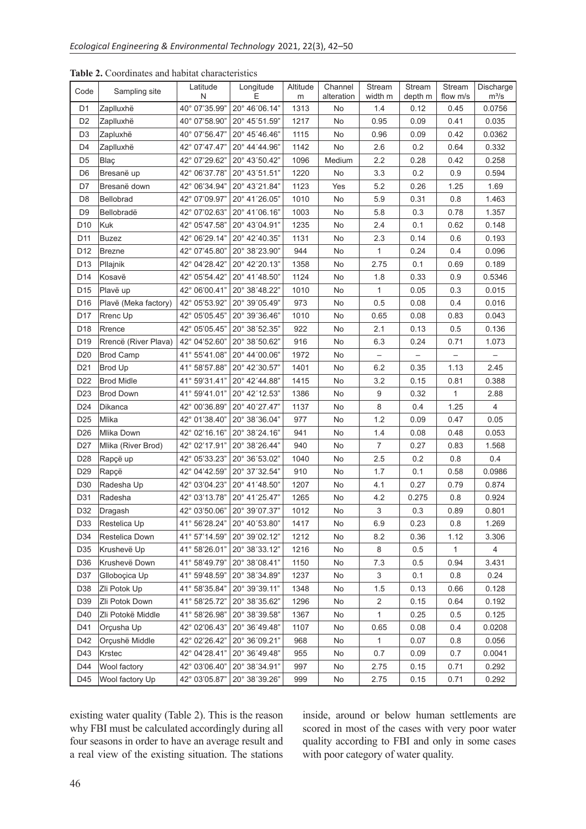| Code            | Sampling site        | Latitude<br>N  | Longitude<br>F | Altitude<br>m | Channel<br>alteration | Stream<br>width m | Stream<br>depth m | Stream<br>flow m/s | Discharge<br>$m^3/s$ |
|-----------------|----------------------|----------------|----------------|---------------|-----------------------|-------------------|-------------------|--------------------|----------------------|
| D <sub>1</sub>  | Zaplluxhë            | 40° 07'35.99"  | 20° 46'06.14"  | 1313          | No                    | 1.4               | 0.12              | 0.45               | 0.0756               |
| D <sub>2</sub>  | Zaplluxhë            | 40° 07'58.90"  | 20° 45'51.59"  | 1217          | No                    | 0.95              | 0.09              | 0.41               | 0.035                |
| D <sub>3</sub>  | Zapluxhë             | 40° 07'56.47"  | 20° 45'46.46"  | 1115          | No                    | 0.96              | 0.09              | 0.42               | 0.0362               |
| D4              | Zaplluxhë            | 42° 07'47.47"  | 20° 44'44.96"  | 1142          | No                    | 2.6               | 0.2               | 0.64               | 0.332                |
| D <sub>5</sub>  | Blaç                 | 42° 07'29.62"  | 20° 43'50.42"  | 1096          | Medium                | 2.2               | 0.28              | 0.42               | 0.258                |
| D <sub>6</sub>  | Bresanë up           | 42° 06'37.78"  | 20° 43'51.51"  | 1220          | No                    | 3.3               | 0.2               | 0.9                | 0.594                |
| D7              | Bresanë down         | 42° 06'34.94"  | 20° 43'21.84"  | 1123          | Yes                   | 5.2               | 0.26              | 1.25               | 1.69                 |
| D <sub>8</sub>  | Bellobrad            | 42° 07'09.97"  | 20° 41'26.05"  | 1010          | No                    | 5.9               | 0.31              | 0.8                | 1.463                |
| D <sub>9</sub>  | Bellobradë           | 42° 07'02.63"  | 20° 41'06.16"  | 1003          | No                    | 5.8               | 0.3               | 0.78               | 1.357                |
| D <sub>10</sub> | Kuk                  | 42° 05'47.58"  | 20° 43'04.91"  | 1235          | No                    | 2.4               | 0.1               | 0.62               | 0.148                |
| D <sub>11</sub> | <b>Buzez</b>         | 42° 06' 29.14" | 20° 42'40.35"  | 1131          | No                    | 2.3               | 0.14              | 0.6                | 0.193                |
| D <sub>12</sub> | <b>Brezne</b>        | 42° 07'45.80"  | 20° 38' 23.90" | 944           | No                    | 1                 | 0.24              | 0.4                | 0.096                |
| D <sub>13</sub> | Pllajnik             | 42° 04' 28.42" | 20° 42'20.13"  | 1358          | No                    | 2.75              | 0.1               | 0.69               | 0.189                |
| D14             | Kosavë               | 42° 05'54.42"  | 20° 41'48.50"  | 1124          | No                    | 1.8               | 0.33              | 0.9                | 0.5346               |
| D <sub>15</sub> | Plavë up             | 42° 06'00.41"  | 20° 38'48.22"  | 1010          | No                    | 1                 | 0.05              | 0.3                | 0.015                |
| D <sub>16</sub> | Plavë (Meka factory) | 42° 05'53.92"  | 20° 39'05.49"  | 973           | No                    | 0.5               | 0.08              | 0.4                | 0.016                |
| D <sub>17</sub> | Rrenc Up             | 42° 05'05.45"  | 20° 39'36.46"  | 1010          | No                    | 0.65              | 0.08              | 0.83               | 0.043                |
| D <sub>18</sub> | Rrence               | 42° 05'05.45"  | 20° 38' 52.35" | 922           | No                    | 2.1               | 0.13              | 0.5                | 0.136                |
| D <sub>19</sub> | Rrencë (River Plava) | 42° 04'52.60"  | 20° 38'50.62"  | 916           | No                    | 6.3               | 0.24              | 0.71               | 1.073                |
| D <sub>20</sub> | <b>Brod Camp</b>     | 41° 55'41.08"  | 20° 44'00.06"  | 1972          | No                    |                   |                   |                    |                      |
| D <sub>21</sub> | <b>Brod Up</b>       | 41° 58'57.88"  | 20° 42'30.57"  | 1401          | No                    | 6.2               | 0.35              | 1.13               | 2.45                 |
| D <sub>22</sub> | <b>Brod Midle</b>    | 41° 59'31.41"  | 20° 42'44.88"  | 1415          | No                    | 3.2               | 0.15              | 0.81               | 0.388                |
| D <sub>23</sub> | <b>Brod Down</b>     | 41° 59'41.01"  | 20° 42'12.53"  | 1386          | No                    | 9                 | 0.32              | 1                  | 2.88                 |
| D <sub>24</sub> | Dikanca              | 42° 00'36.89"  | 20° 40'27.47"  | 1137          | No                    | 8                 | 0.4               | 1.25               | $\overline{4}$       |
| D <sub>25</sub> | Mlika                | 42° 01'38.40"  | 20° 38'36.04"  | 977           | No                    | 1.2               | 0.09              | 0.47               | 0.05                 |
| D <sub>26</sub> | Mlika Down           | 42° 02'16.16"  | 20° 38' 24.16" | 941           | No                    | 1.4               | 0.08              | 0.48               | 0.053                |
| D <sub>27</sub> | Mlika (River Brod)   | 42° 02'17.91"  | 20° 38' 26.44" | 940           | No                    | $\overline{7}$    | 0.27              | 0.83               | 1.568                |
| D <sub>28</sub> | Rapçë up             | 42° 05'33.23"  | 20° 36'53.02"  | 1040          | No                    | 2.5               | 0.2               | 0.8                | 0.4                  |
| D <sub>29</sub> | Rapçë                | 42° 04'42.59"  | 20° 37'32.54"  | 910           | No                    | 1.7               | 0.1               | 0.58               | 0.0986               |
| D <sub>30</sub> | Radesha Up           | 42° 03'04.23"  | 20° 41'48.50"  | 1207          | No                    | 4.1               | 0.27              | 0.79               | 0.874                |
| D31             | Radesha              | 42° 03' 13.78" | 20° 41'25.47"  | 1265          | No                    | 4.2               | 0.275             | 0.8                | 0.924                |
| D32             | Dragash              | 42° 03'50.06"  | 20° 39'07.37"  | 1012          | No                    | 3                 | 0.3               | 0.89               | 0.801                |
| D33             | Restelica Up         | 41° 56'28.24"  | 20° 40'53.80"  | 1417          | No                    | 6.9               | 0.23              | 0.8                | 1.269                |
| D34             | Restelica Down       | 41° 57'14.59"  | 20° 39'02.12"  | 1212          | No                    | 8.2               | 0.36              | 1.12               | 3.306                |
| D35             | Krushevë Up          | 41° 58'26.01"  | 20° 38' 33.12" | 1216          | No                    | 8                 | 0.5               | 1                  | 4                    |
| D36             | Krushevë Down        | 41° 58'49.79"  | 20° 38'08.41"  | 1150          | No                    | 7.3               | 0.5               | 0.94               | 3.431                |
| D37             | Glloboçica Up        | 41° 59'48.59"  | 20° 38'34.89"  | 1237          | No                    | 3                 | 0.1               | 0.8                | 0.24                 |
| D38             | Zli Potok Up         | 41° 58'35.84"  | 20° 39'39.11"  | 1348          | No                    | 1.5               | 0.13              | 0.66               | 0.128                |
| D39             | Zli Potok Down       | 41° 58'25.72"  | 20° 38'35.62"  | 1296          | No                    | 2                 | 0.15              | 0.64               | 0.192                |
| D40             | Zli Potokë Middle    | 41° 58'26.98"  | 20° 38'39.58"  | 1367          | No                    | 1                 | 0.25              | 0.5                | 0.125                |
| D41             | Orçusha Up           | 42° 02'06.43"  | 20° 36'49.48"  | 1107          | No                    | 0.65              | 0.08              | 0.4                | 0.0208               |
| D42             | Orçushë Middle       | 42° 02'26.42"  | 20° 36'09.21"  | 968           | No                    | $\mathbf{1}$      | 0.07              | 0.8                | 0.056                |
| D43             | Krstec               | 42° 04'28.41"  | 20° 36'49.48"  | 955           | No                    | 0.7               | 0.09              | 0.7                | 0.0041               |
| D44             | Wool factory         | 42° 03'06.40"  | 20° 38'34.91"  | 997           | No                    | 2.75              | 0.15              | 0.71               | 0.292                |
| D45             | Wool factory Up      | 42° 03'05.87"  | 20° 38'39.26"  | 999           | No                    | 2.75              | 0.15              | 0.71               | 0.292                |

**Table 2.** Coordinates and habitat characteristics

existing water quality (Table 2). This is the reason why FBI must be calculated accordingly during all four seasons in order to have an average result and a real view of the existing situation. The stations

inside, around or below human settlements are scored in most of the cases with very poor water quality according to FBI and only in some cases with poor category of water quality.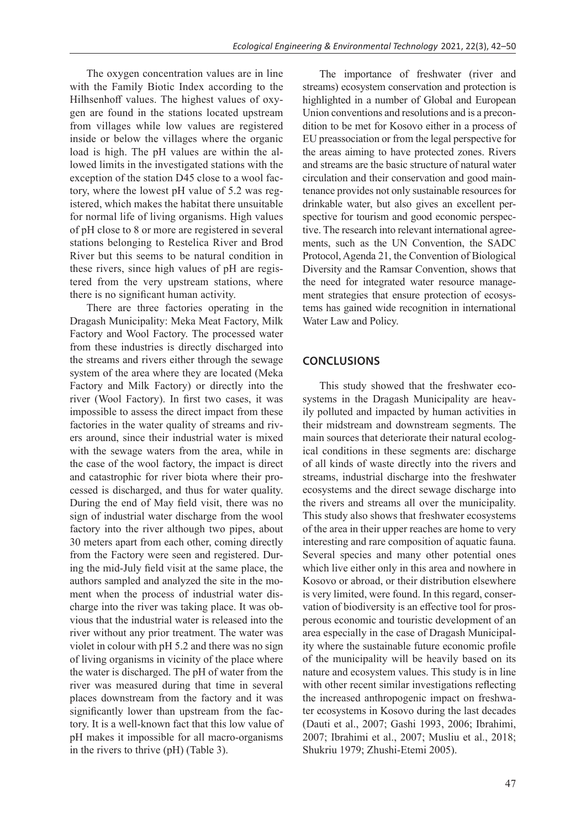The oxygen concentration values are in line with the Family Biotic Index according to the Hilhsenhoff values. The highest values of oxygen are found in the stations located upstream from villages while low values are registered inside or below the villages where the organic load is high. The pH values are within the allowed limits in the investigated stations with the exception of the station D45 close to a wool factory, where the lowest pH value of 5.2 was registered, which makes the habitat there unsuitable for normal life of living organisms. High values of pH close to 8 or more are registered in several stations belonging to Restelica River and Brod River but this seems to be natural condition in these rivers, since high values of pH are registered from the very upstream stations, where there is no significant human activity.

There are three factories operating in the Dragash Municipality: Meka Meat Factory, Milk Factory and Wool Factory. The processed water from these industries is directly discharged into the streams and rivers either through the sewage system of the area where they are located (Meka Factory and Milk Factory) or directly into the river (Wool Factory). In first two cases, it was impossible to assess the direct impact from these factories in the water quality of streams and rivers around, since their industrial water is mixed with the sewage waters from the area, while in the case of the wool factory, the impact is direct and catastrophic for river biota where their processed is discharged, and thus for water quality. During the end of May field visit, there was no sign of industrial water discharge from the wool factory into the river although two pipes, about 30 meters apart from each other, coming directly from the Factory were seen and registered. During the mid-July field visit at the same place, the authors sampled and analyzed the site in the moment when the process of industrial water discharge into the river was taking place. It was obvious that the industrial water is released into the river without any prior treatment. The water was violet in colour with pH 5.2 and there was no sign of living organisms in vicinity of the place where the water is discharged. The pH of water from the river was measured during that time in several places downstream from the factory and it was significantly lower than upstream from the factory. It is a well-known fact that this low value of pH makes it impossible for all macro-organisms in the rivers to thrive (pH) (Table 3).

The importance of freshwater (river and streams) ecosystem conservation and protection is highlighted in a number of Global and European Union conventions and resolutions and is a precondition to be met for Kosovo either in a process of EU preassociation or from the legal perspective for the areas aiming to have protected zones. Rivers and streams are the basic structure of natural water circulation and their conservation and good maintenance provides not only sustainable resources for drinkable water, but also gives an excellent perspective for tourism and good economic perspective. The research into relevant international agreements, such as the UN Convention, the SADC Protocol, Agenda 21, the Convention of Biological Diversity and the Ramsar Convention, shows that the need for integrated water resource management strategies that ensure protection of ecosystems has gained wide recognition in international Water Law and Policy.

## **CONCLUSIONS**

This study showed that the freshwater ecosystems in the Dragash Municipality are heavily polluted and impacted by human activities in their midstream and downstream segments. The main sources that deteriorate their natural ecological conditions in these segments are: discharge of all kinds of waste directly into the rivers and streams, industrial discharge into the freshwater ecosystems and the direct sewage discharge into the rivers and streams all over the municipality. This study also shows that freshwater ecosystems of the area in their upper reaches are home to very interesting and rare composition of aquatic fauna. Several species and many other potential ones which live either only in this area and nowhere in Kosovo or abroad, or their distribution elsewhere is very limited, were found. In this regard, conservation of biodiversity is an effective tool for prosperous economic and touristic development of an area especially in the case of Dragash Municipality where the sustainable future economic profile of the municipality will be heavily based on its nature and ecosystem values. This study is in line with other recent similar investigations reflecting the increased anthropogenic impact on freshwater ecosystems in Kosovo during the last decades (Dauti et al., 2007; Gashi 1993, 2006; Ibrahimi, 2007; Ibrahimi et al., 2007; Musliu et al., 2018; Shukriu 1979; Zhushi-Etemi 2005).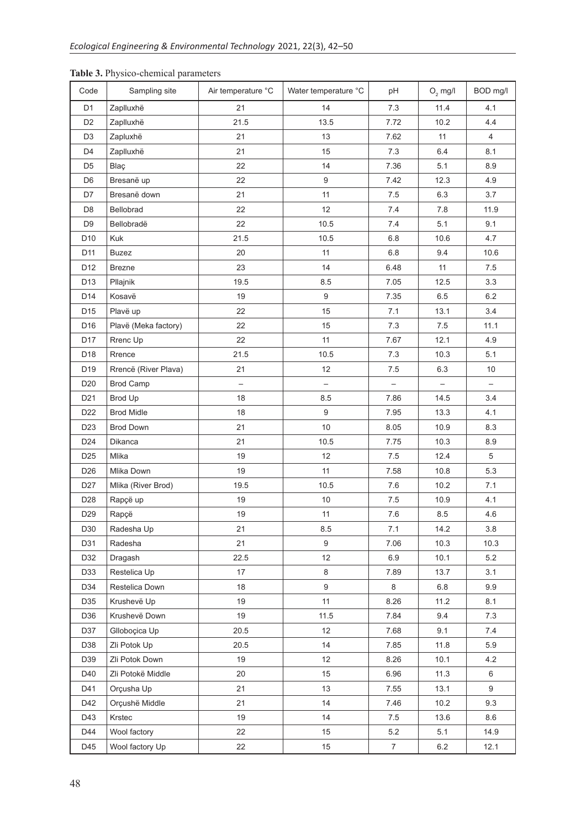| Code            | Sampling site        | Air temperature °C | Water temperature °C | pH             | $O2$ mg/l | BOD mg/l       |
|-----------------|----------------------|--------------------|----------------------|----------------|-----------|----------------|
| D <sub>1</sub>  | Zaplluxhë            | 21                 | 14                   | 7.3            | 11.4      | 4.1            |
| D <sub>2</sub>  | Zaplluxhë            | 21.5               | 13.5                 | 7.72           | 10.2      | 4.4            |
| D <sub>3</sub>  | Zapluxhë             | 21                 | 13                   | 7.62           | 11        | $\overline{4}$ |
| D <sub>4</sub>  | Zaplluxhë            | 21                 | 15                   | 7.3            | 6.4       | 8.1            |
| D <sub>5</sub>  | Blaç                 | 22                 | 14                   | 7.36           | 5.1       | 8.9            |
| D <sub>6</sub>  | Bresanë up           | 22                 | $\boldsymbol{9}$     | 7.42           | 12.3      | 4.9            |
| D7              | Bresanë down         | 21                 | 11                   | 7.5            | 6.3       | 3.7            |
| D <sub>8</sub>  | Bellobrad            | 22                 | 12                   | 7.4            | 7.8       | 11.9           |
| D <sub>9</sub>  | Bellobradë           | 22                 | 10.5                 | 7.4            | 5.1       | 9.1            |
| D <sub>10</sub> | Kuk                  | 21.5               | 10.5                 | 6.8            | 10.6      | 4.7            |
| D11             | <b>Buzez</b>         | 20                 | 11                   | 6.8            | 9.4       | 10.6           |
| D12             | <b>Brezne</b>        | 23                 | 14                   | 6.48           | 11        | 7.5            |
| D13             | Pllajnik             | 19.5               | 8.5                  | 7.05           | 12.5      | 3.3            |
| D <sub>14</sub> | Kosavë               | 19                 | $\boldsymbol{9}$     | 7.35           | 6.5       | 6.2            |
| D15             | Plavë up             | 22                 | 15                   | 7.1            | 13.1      | 3.4            |
| D <sub>16</sub> | Plavë (Meka factory) | 22                 | 15                   | 7.3            | 7.5       | 11.1           |
| D <sub>17</sub> | Rrenc Up             | 22                 | 11                   | 7.67           | 12.1      | 4.9            |
| D18             | Rrence               | 21.5               | 10.5                 | 7.3            | 10.3      | 5.1            |
| D <sub>19</sub> | Rrencë (River Plava) | 21                 | 12                   | $7.5\,$        | 6.3       | 10             |
| D <sub>20</sub> | <b>Brod Camp</b>     | $\qquad \qquad -$  |                      |                |           |                |
| D <sub>21</sub> | Brod Up              | 18                 | 8.5                  | 7.86           | 14.5      | 3.4            |
| D <sub>22</sub> | <b>Brod Midle</b>    | 18                 | $\boldsymbol{9}$     | 7.95           | 13.3      | 4.1            |
| D <sub>23</sub> | <b>Brod Down</b>     | 21                 | 10                   | 8.05           | 10.9      | 8.3            |
| D <sub>24</sub> | Dikanca              | 21                 | 10.5                 | 7.75           | 10.3      | 8.9            |
| D <sub>25</sub> | Mlika                | 19                 | 12                   | 7.5            | 12.4      | 5              |
| D <sub>26</sub> | Mlika Down           | 19                 | 11                   | 7.58           | 10.8      | 5.3            |
| D <sub>27</sub> | Mlika (River Brod)   | 19.5               | 10.5                 | 7.6            | 10.2      | 7.1            |
| D <sub>28</sub> | Rapçë up             | 19                 | 10                   | $7.5$          | 10.9      | 4.1            |
| D <sub>29</sub> | Rapçë                | 19                 | 11                   | 7.6            | 8.5       | 4.6            |
| D30             | Radesha Up           | 21                 | 8.5                  | 7.1            | 14.2      | 3.8            |
| D31             | Radesha              | 21                 | 9                    | 7.06           | 10.3      | 10.3           |
| D32             | Dragash              | 22.5               | 12                   | 6.9            | 10.1      | 5.2            |
| D33             | Restelica Up         | 17                 | 8                    | 7.89           | 13.7      | 3.1            |
| D34             | Restelica Down       | 18                 | 9                    | 8              | 6.8       | 9.9            |
| D35             | Krushevë Up          | 19                 | 11                   | 8.26           | 11.2      | 8.1            |
| D36             | Krushevë Down        | 19                 | 11.5                 | 7.84           | 9.4       | 7.3            |
| D37             | Glloboçica Up        | 20.5               | 12                   | 7.68           | 9.1       | 7.4            |
| D38             | Zli Potok Up         | 20.5               | 14                   | 7.85           | 11.8      | 5.9            |
| D39             | Zli Potok Down       | 19                 | 12                   | 8.26           | 10.1      | 4.2            |
| D40             | Zli Potokë Middle    | 20                 | 15                   | 6.96           | 11.3      | 6              |
| D41             | Orçusha Up           | 21                 | 13                   | 7.55           | 13.1      | 9              |
| D42             | Orçushë Middle       | 21                 | 14                   | 7.46           | 10.2      | 9.3            |
| D43             | Krstec               | 19                 | 14                   | 7.5            | 13.6      | 8.6            |
| D44             | Wool factory         | 22                 | 15                   | 5.2            | 5.1       | 14.9           |
| D45             | Wool factory Up      | 22                 | 15                   | $\overline{7}$ | $6.2\,$   | 12.1           |

## **Table 3.** Physico-chemical parameters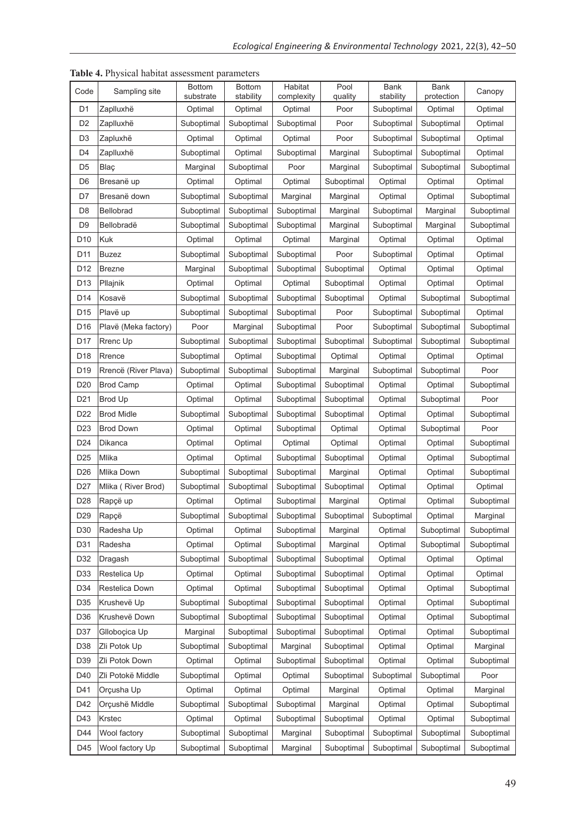| Code            | Sampling site        | <b>Bottom</b><br>substrate | <b>Bottom</b><br>stability | Habitat<br>complexity | Pool<br>quality | Bank<br>stability | Bank<br>protection | Canopy     |
|-----------------|----------------------|----------------------------|----------------------------|-----------------------|-----------------|-------------------|--------------------|------------|
| D1              | Zaplluxhë            | Optimal                    | Optimal                    | Optimal               | Poor            | Suboptimal        | Optimal            | Optimal    |
| D <sub>2</sub>  | Zaplluxhë            | Suboptimal                 | Suboptimal                 | Suboptimal            | Poor            | Suboptimal        | Suboptimal         | Optimal    |
| D3              | Zapluxhë             | Optimal                    | Optimal                    | Optimal               | Poor            | Suboptimal        | Suboptimal         | Optimal    |
| D <sub>4</sub>  | Zaplluxhë            | Suboptimal                 | Optimal                    | Suboptimal            | Marginal        | Suboptimal        | Suboptimal         | Optimal    |
| D5              | Blaç                 | Marginal                   | Suboptimal                 | Poor                  | Marginal        | Suboptimal        | Suboptimal         | Suboptimal |
| D <sub>6</sub>  | Bresanë up           | Optimal                    | Optimal                    | Optimal               | Suboptimal      | Optimal           | Optimal            | Optimal    |
| D7              | Bresanë down         | Suboptimal                 | Suboptimal                 | Marginal              | Marginal        | Optimal           | Optimal            | Suboptimal |
| D <sub>8</sub>  | <b>Bellobrad</b>     | Suboptimal                 | Suboptimal                 | Suboptimal            | Marginal        | Suboptimal        | Marginal           | Suboptimal |
| D <sub>9</sub>  | Bellobradë           | Suboptimal                 | Suboptimal                 | Suboptimal            | Marginal        | Suboptimal        | Marginal           | Suboptimal |
| D10             | Kuk                  | Optimal                    | Optimal                    | Optimal               | Marginal        | Optimal           | Optimal            | Optimal    |
| D11             | <b>Buzez</b>         | Suboptimal                 | Suboptimal                 | Suboptimal            | Poor            | Suboptimal        | Optimal            | Optimal    |
| D <sub>12</sub> | <b>Brezne</b>        | Marginal                   | Suboptimal                 | Suboptimal            | Suboptimal      | Optimal           | Optimal            | Optimal    |
| D <sub>13</sub> | Pllajnik             | Optimal                    | Optimal                    | Optimal               | Suboptimal      | Optimal           | Optimal            | Optimal    |
| D14             | Kosavë               | Suboptimal                 | Suboptimal                 | Suboptimal            | Suboptimal      | Optimal           | Suboptimal         | Suboptimal |
| D15             | Plavë up             | Suboptimal                 | Suboptimal                 | Suboptimal            | Poor            | Suboptimal        | Suboptimal         | Optimal    |
| D <sub>16</sub> | Plavë (Meka factory) | Poor                       | Marginal                   | Suboptimal            | Poor            | Suboptimal        | Suboptimal         | Suboptimal |
| D17             | Rrenc Up             | Suboptimal                 | Suboptimal                 | Suboptimal            | Suboptimal      | Suboptimal        | Suboptimal         | Suboptimal |
| D <sub>18</sub> | Rrence               | Suboptimal                 | Optimal                    | Suboptimal            | Optimal         | Optimal           | Optimal            | Optimal    |
| D <sub>19</sub> | Rrencë (River Plava) | Suboptimal                 | Suboptimal                 | Suboptimal            | Marginal        | Suboptimal        | Suboptimal         | Poor       |
| D <sub>20</sub> | <b>Brod Camp</b>     | Optimal                    | Optimal                    | Suboptimal            | Suboptimal      | Optimal           | Optimal            | Suboptimal |
| D <sub>21</sub> | Brod Up              | Optimal                    | Optimal                    | Suboptimal            | Suboptimal      | Optimal           | Suboptimal         | Poor       |
| D <sub>22</sub> | <b>Brod Midle</b>    | Suboptimal                 | Suboptimal                 | Suboptimal            | Suboptimal      | Optimal           | Optimal            | Suboptimal |
| D <sub>23</sub> | <b>Brod Down</b>     | Optimal                    | Optimal                    | Suboptimal            | Optimal         | Optimal           | Suboptimal         | Poor       |
| D <sub>24</sub> | Dikanca              | Optimal                    | Optimal                    | Optimal               | Optimal         | Optimal           | Optimal            | Suboptimal |
| D <sub>25</sub> | Mlika                | Optimal                    | Optimal                    | Suboptimal            | Suboptimal      | Optimal           | Optimal            | Suboptimal |
| D <sub>26</sub> | Mlika Down           | Suboptimal                 | Suboptimal                 | Suboptimal            | Marginal        | Optimal           | Optimal            | Suboptimal |
| D <sub>27</sub> | Mlika (River Brod)   | Suboptimal                 | Suboptimal                 | Suboptimal            | Suboptimal      | Optimal           | Optimal            | Optimal    |
| D <sub>28</sub> | Rapçë up             | Optimal                    | Optimal                    | Suboptimal            | Marginal        | Optimal           | Optimal            | Suboptimal |
| D <sub>29</sub> | Rapçë                | Suboptimal                 | Suboptimal                 | Suboptimal            | Suboptimal      | Suboptimal        | Optimal            | Marginal   |
| D30             | Radesha Up           | Optimal                    | Optimal                    | Suboptimal            | Marginal        | Optimal           | Suboptimal         | Suboptimal |
| D31             | Radesha              | Optimal                    | Optimal                    | Suboptimal            | Marginal        | Optimal           | Suboptimal         | Suboptimal |
| D32             | Dragash              | Suboptimal                 | Suboptimal                 | Suboptimal            | Suboptimal      | Optimal           | Optimal            | Optimal    |
| D33             | Restelica Up         | Optimal                    | Optimal                    | Suboptimal            | Suboptimal      | Optimal           | Optimal            | Optimal    |
| D34             | Restelica Down       | Optimal                    | Optimal                    | Suboptimal            | Suboptimal      | Optimal           | Optimal            | Suboptimal |
| D35             | Krushevë Up          | Suboptimal                 | Suboptimal                 | Suboptimal            | Suboptimal      | Optimal           | Optimal            | Suboptimal |
| D36             | Krushevë Down        | Suboptimal                 | Suboptimal                 | Suboptimal            | Suboptimal      | Optimal           | Optimal            | Suboptimal |
| D37             | Glloboçica Up        | Marginal                   | Suboptimal                 | Suboptimal            | Suboptimal      | Optimal           | Optimal            | Suboptimal |
| D38             | Zli Potok Up         | Suboptimal                 | Suboptimal                 | Marginal              | Suboptimal      | Optimal           | Optimal            | Marginal   |
| D39             | Zli Potok Down       | Optimal                    | Optimal                    | Suboptimal            | Suboptimal      | Optimal           | Optimal            | Suboptimal |
| D40             | Zli Potokë Middle    | Suboptimal                 | Optimal                    | Optimal               | Suboptimal      | Suboptimal        | Suboptimal         | Poor       |
| D41             | Orçusha Up           | Optimal                    | Optimal                    | Optimal               | Marginal        | Optimal           | Optimal            | Marginal   |
| D42             | Orçushë Middle       | Suboptimal                 | Suboptimal                 | Suboptimal            | Marginal        | Optimal           | Optimal            | Suboptimal |
| D43             | Krstec               | Optimal                    | Optimal                    | Suboptimal            | Suboptimal      | Optimal           | Optimal            | Suboptimal |
| D44             | Wool factory         | Suboptimal                 | Suboptimal                 | Marginal              | Suboptimal      | Suboptimal        | Suboptimal         | Suboptimal |
| D45             | Wool factory Up      | Suboptimal                 | Suboptimal                 | Marginal              | Suboptimal      | Suboptimal        | Suboptimal         | Suboptimal |

**Table 4.** Physical habitat assessment parameters